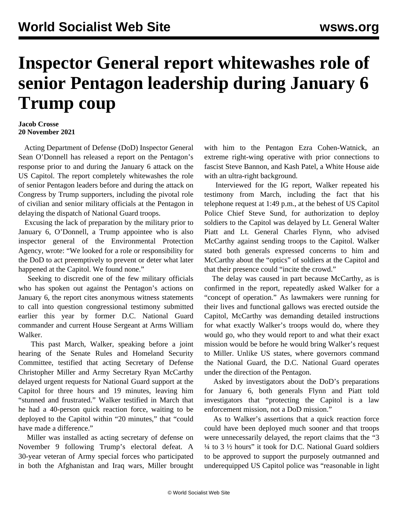## **Inspector General report whitewashes role of senior Pentagon leadership during January 6 Trump coup**

## **Jacob Crosse 20 November 2021**

 Acting Department of Defense (DoD) Inspector General Sean O'Donnell has released a report on the Pentagon's response prior to and during the January 6 attack on the US Capitol. The report completely whitewashes the role of senior Pentagon leaders before and during the attack on Congress by Trump supporters, including the pivotal role of civilian and senior military officials at the Pentagon in delaying the dispatch of National Guard troops.

 Excusing the lack of preparation by the military prior to January 6, O'Donnell, a Trump appointee who is also inspector general of the Environmental Protection Agency, wrote: "We looked for a role or responsibility for the DoD to act preemptively to prevent or deter what later happened at the Capitol. We found none."

 Seeking to discredit one of the few military officials who has spoken out against the Pentagon's actions on January 6, the report cites anonymous witness statements to call into question congressional testimony submitted earlier this year by former D.C. National Guard commander and current House Sergeant at Arms William Walker.

 This past March, Walker, speaking before a joint hearing of the Senate Rules and Homeland Security Committee, testified that acting Secretary of Defense Christopher Miller and Army Secretary Ryan McCarthy delayed urgent requests for National Guard support at the Capitol for three hours and 19 minutes, leaving him "stunned and frustrated." Walker testified in March that he had a 40-person quick reaction force, waiting to be deployed to the Capitol within "20 minutes," that "could have made a difference."

 Miller was installed as acting secretary of defense on November 9 following Trump's electoral defeat. A 30-year veteran of Army special forces who participated in both the Afghanistan and Iraq wars, Miller brought with him to the Pentagon Ezra Cohen-Watnick, an extreme right-wing operative with prior connections to fascist Steve Bannon, and Kash Patel, a White House aide with an ultra-right background.

 Interviewed for the IG report, Walker repeated his testimony from March, including the fact that his telephone request at 1:49 p.m., at the behest of US Capitol Police Chief Steve Sund, for authorization to deploy soldiers to the Capitol was delayed by Lt. General Walter Piatt and Lt. General Charles Flynn, who advised McCarthy against sending troops to the Capitol. Walker stated both generals expressed concerns to him and McCarthy about the "optics" of soldiers at the Capitol and that their presence could "incite the crowd."

 The delay was caused in part because McCarthy, as is confirmed in the report, repeatedly asked Walker for a "concept of operation." As lawmakers were running for their lives and functional gallows was erected outside the Capitol, McCarthy was demanding detailed instructions for what exactly Walker's troops would do, where they would go, who they would report to and what their exact mission would be before he would bring Walker's request to Miller. Unlike US states, where governors command the National Guard, the D.C. National Guard operates under the direction of the Pentagon.

 Asked by investigators about the DoD's preparations for January 6, both generals Flynn and Piatt told investigators that "protecting the Capitol is a law enforcement mission, not a DoD mission."

 As to Walker's assertions that a quick reaction force could have been deployed much sooner and that troops were unnecessarily delayed, the report claims that the "3 ¼ to 3 ½ hours" it took for D.C. National Guard soldiers to be approved to support the purposely outmanned and underequipped US Capitol police was "reasonable in light